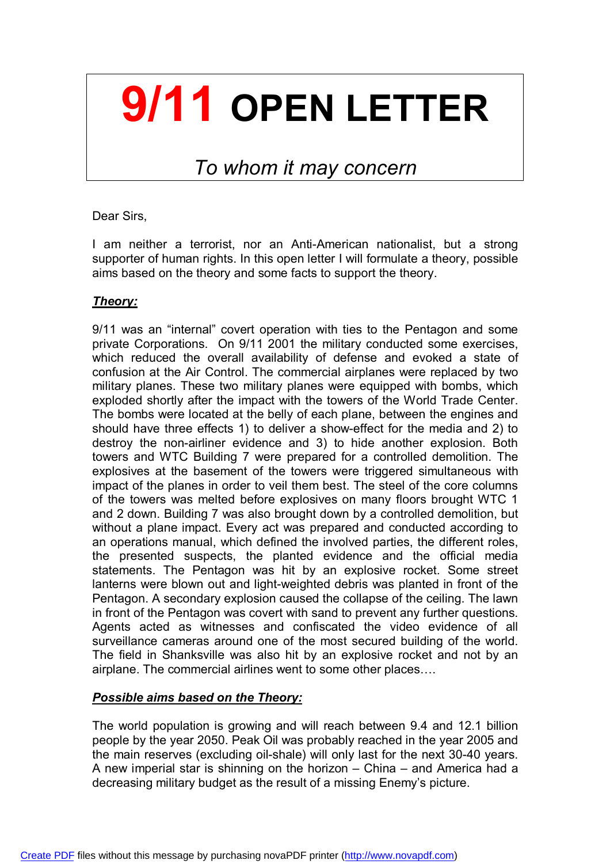## **9/11 OPEN LETTER**

### *To whom it may concern*

Dear Sirs,

I am neither a terrorist, nor an Anti-American nationalist, but a strong supporter of human rights. In this open letter I will formulate a theory, possible aims based on the theory and some facts to support the theory.

#### *Theory:*

9/11 was an "internal" covert operation with ties to the Pentagon and some private Corporations. On 9/11 2001 the military conducted some exercises, which reduced the overall availability of defense and evoked a state of confusion at the Air Control. The commercial airplanes were replaced by two military planes. These two military planes were equipped with bombs, which exploded shortly after the impact with the towers of the World Trade Center. The bombs were located at the belly of each plane, between the engines and should have three effects 1) to deliver a show-effect for the media and 2) to destroy the non-airliner evidence and 3) to hide another explosion. Both towers and WTC Building 7 were prepared for a controlled demolition. The explosives at the basement of the towers were triggered simultaneous with impact of the planes in order to veil them best. The steel of the core columns of the towers was melted before explosives on many floors brought WTC 1 and 2 down. Building 7 was also brought down by a controlled demolition, but without a plane impact. Every act was prepared and conducted according to an operations manual, which defined the involved parties, the different roles, the presented suspects, the planted evidence and the official media statements. The Pentagon was hit by an explosive rocket. Some street lanterns were blown out and light-weighted debris was planted in front of the Pentagon. A secondary explosion caused the collapse of the ceiling. The lawn in front of the Pentagon was covert with sand to prevent any further questions. Agents acted as witnesses and confiscated the video evidence of all surveillance cameras around one of the most secured building of the world. The field in Shanksville was also hit by an explosive rocket and not by an airplane. The commercial airlines went to some other places….

#### *Possible aims based on the Theory:*

The world population is growing and will reach between 9.4 and 12.1 billion people by the year 2050. Peak Oil was probably reached in the year 2005 and the main reserves (excluding oil-shale) will only last for the next 30-40 years. A new imperial star is shinning on the horizon – China – and America had a decreasing military budget as the result of a missing Enemy's picture.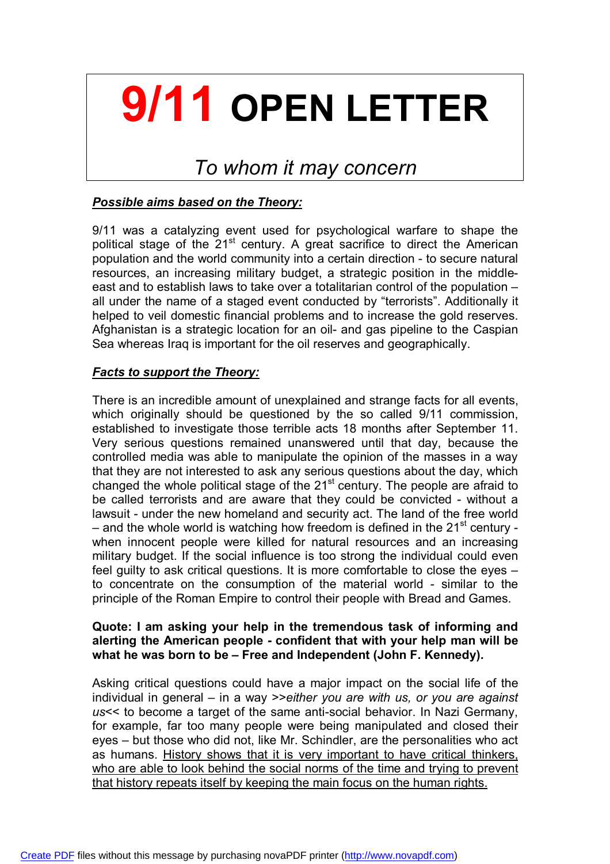## **9/11 OPEN LETTER**

### *To whom it may concern*

#### *Possible aims based on the Theory:*

9/11 was a catalyzing event used for psychological warfare to shape the political stage of the  $21<sup>st</sup>$  century. A great sacrifice to direct the American population and the world community into a certain direction - to secure natural resources, an increasing military budget, a strategic position in the middleeast and to establish laws to take over a totalitarian control of the population – all under the name of a staged event conducted by "terrorists". Additionally it helped to veil domestic financial problems and to increase the gold reserves. Afghanistan is a strategic location for an oil- and gas pipeline to the Caspian Sea whereas Iraq is important for the oil reserves and geographically.

#### *Facts to support the Theory:*

There is an incredible amount of unexplained and strange facts for all events, which originally should be questioned by the so called 9/11 commission, established to investigate those terrible acts 18 months after September 11. Very serious questions remained unanswered until that day, because the controlled media was able to manipulate the opinion of the masses in a way that they are not interested to ask any serious questions about the day, which changed the whole political stage of the  $21<sup>st</sup>$  century. The people are afraid to be called terrorists and are aware that they could be convicted - without a lawsuit - under the new homeland and security act. The land of the free world – and the whole world is watching how freedom is defined in the  $21<sup>st</sup>$  century when innocent people were killed for natural resources and an increasing military budget. If the social influence is too strong the individual could even feel guilty to ask critical questions. It is more comfortable to close the eyes – to concentrate on the consumption of the material world - similar to the principle of the Roman Empire to control their people with Bread and Games.

#### **Quote: I am asking your help in the tremendous task of informing and alerting the American people - confident that with your help man will be what he was born to be – Free and Independent (John F. Kennedy).**

Asking critical questions could have a major impact on the social life of the individual in general – in a way >>*either you are with us, or you are against us*<< to become a target of the same anti-social behavior. In Nazi Germany, for example, far too many people were being manipulated and closed their eyes – but those who did not, like Mr. Schindler, are the personalities who act as humans. History shows that it is very important to have critical thinkers, who are able to look behind the social norms of the time and trying to prevent that history repeats itself by keeping the main focus on the human rights.